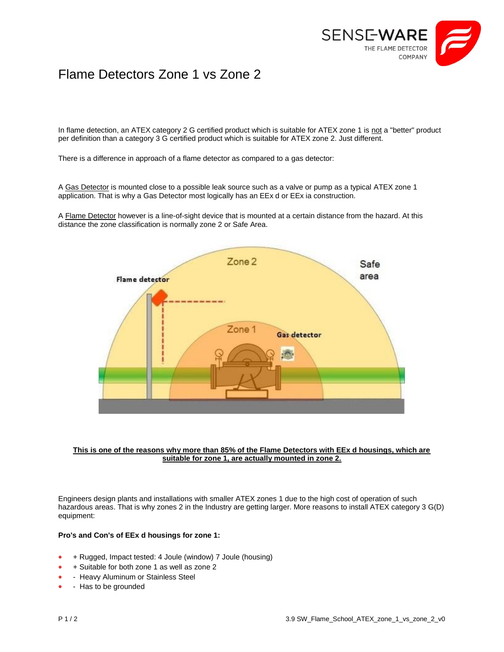

# Flame Detectors Zone 1 vs Zone 2

In flame detection, an ATEX category 2 G certified product which is suitable for ATEX zone 1 is not a "better" product per definition than a category 3 G certified product which is suitable for ATEX zone 2. Just different.

There is a difference in approach of a flame detector as compared to a gas detector:

A Gas Detector is mounted close to a possible leak source such as a valve or pump as a typical ATEX zone 1 application. That is why a Gas Detector most logically has an EEx d or EEx ia construction.

A Flame Detector however is a line-of-sight device that is mounted at a certain distance from the hazard. At this distance the zone classification is normally zone 2 or Safe Area.



#### **This is one of the reasons why more than 85% of the Flame Detectors with EEx d housings, which are suitable for zone 1, are actually mounted in zone 2.**

Engineers design plants and installations with smaller ATEX zones 1 due to the high cost of operation of such hazardous areas. That is why zones 2 in the Industry are getting larger. More reasons to install ATEX category 3 G(D) equipment:

## **Pro's and Con's of EEx d housings for zone 1:**

- + Rugged, Impact tested: 4 Joule (window) 7 Joule (housing)
- + Suitable for both zone 1 as well as zone 2
- Heavy Aluminum or Stainless Steel
- Has to be grounded